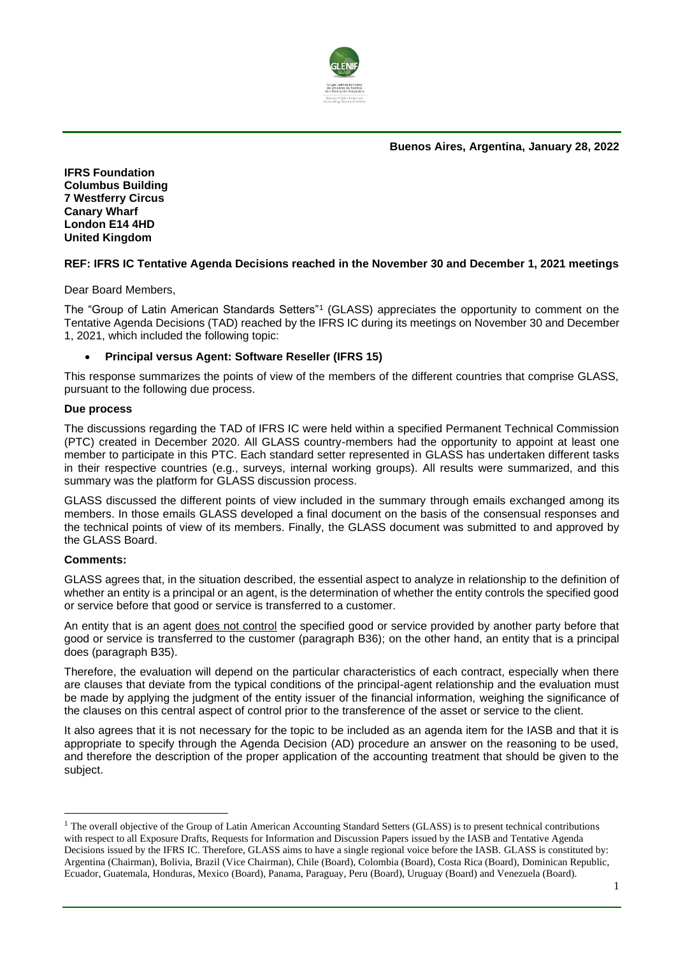

**Buenos Aires, Argentina, January 28, 2022**

**IFRS Foundation Columbus Building 7 Westferry Circus Canary Wharf London E14 4HD United Kingdom**

### **REF: IFRS IC Tentative Agenda Decisions reached in the November 30 and December 1, 2021 meetings**

Dear Board Members,

The "Group of Latin American Standards Setters"<sup>1</sup> (GLASS) appreciates the opportunity to comment on the Tentative Agenda Decisions (TAD) reached by the IFRS IC during its meetings on November 30 and December 1, 2021, which included the following topic:

## • **Principal versus Agent: Software Reseller (IFRS 15)**

This response summarizes the points of view of the members of the different countries that comprise GLASS, pursuant to the following due process.

### **Due process**

The discussions regarding the TAD of IFRS IC were held within a specified Permanent Technical Commission (PTC) created in December 2020. All GLASS country-members had the opportunity to appoint at least one member to participate in this PTC. Each standard setter represented in GLASS has undertaken different tasks in their respective countries (e.g., surveys, internal working groups). All results were summarized, and this summary was the platform for GLASS discussion process.

GLASS discussed the different points of view included in the summary through emails exchanged among its members. In those emails GLASS developed a final document on the basis of the consensual responses and the technical points of view of its members. Finally, the GLASS document was submitted to and approved by the GLASS Board.

### **Comments:**

GLASS agrees that, in the situation described, the essential aspect to analyze in relationship to the definition of whether an entity is a principal or an agent, is the determination of whether the entity controls the specified good or service before that good or service is transferred to a customer.

An entity that is an agent does not control the specified good or service provided by another party before that good or service is transferred to the customer (paragraph B36); on the other hand, an entity that is a principal does (paragraph B35).

Therefore, the evaluation will depend on the particular characteristics of each contract, especially when there are clauses that deviate from the typical conditions of the principal-agent relationship and the evaluation must be made by applying the judgment of the entity issuer of the financial information, weighing the significance of the clauses on this central aspect of control prior to the transference of the asset or service to the client.

It also agrees that it is not necessary for the topic to be included as an agenda item for the IASB and that it is appropriate to specify through the Agenda Decision (AD) procedure an answer on the reasoning to be used, and therefore the description of the proper application of the accounting treatment that should be given to the subject.

<sup>&</sup>lt;sup>1</sup> The overall objective of the Group of Latin American Accounting Standard Setters (GLASS) is to present technical contributions with respect to all Exposure Drafts, Requests for Information and Discussion Papers issued by the IASB and Tentative Agenda Decisions issued by the IFRS IC. Therefore, GLASS aims to have a single regional voice before the IASB. GLASS is constituted by: Argentina (Chairman), Bolivia, Brazil (Vice Chairman), Chile (Board), Colombia (Board), Costa Rica (Board), Dominican Republic, Ecuador, Guatemala, Honduras, Mexico (Board), Panama, Paraguay, Peru (Board), Uruguay (Board) and Venezuela (Board).